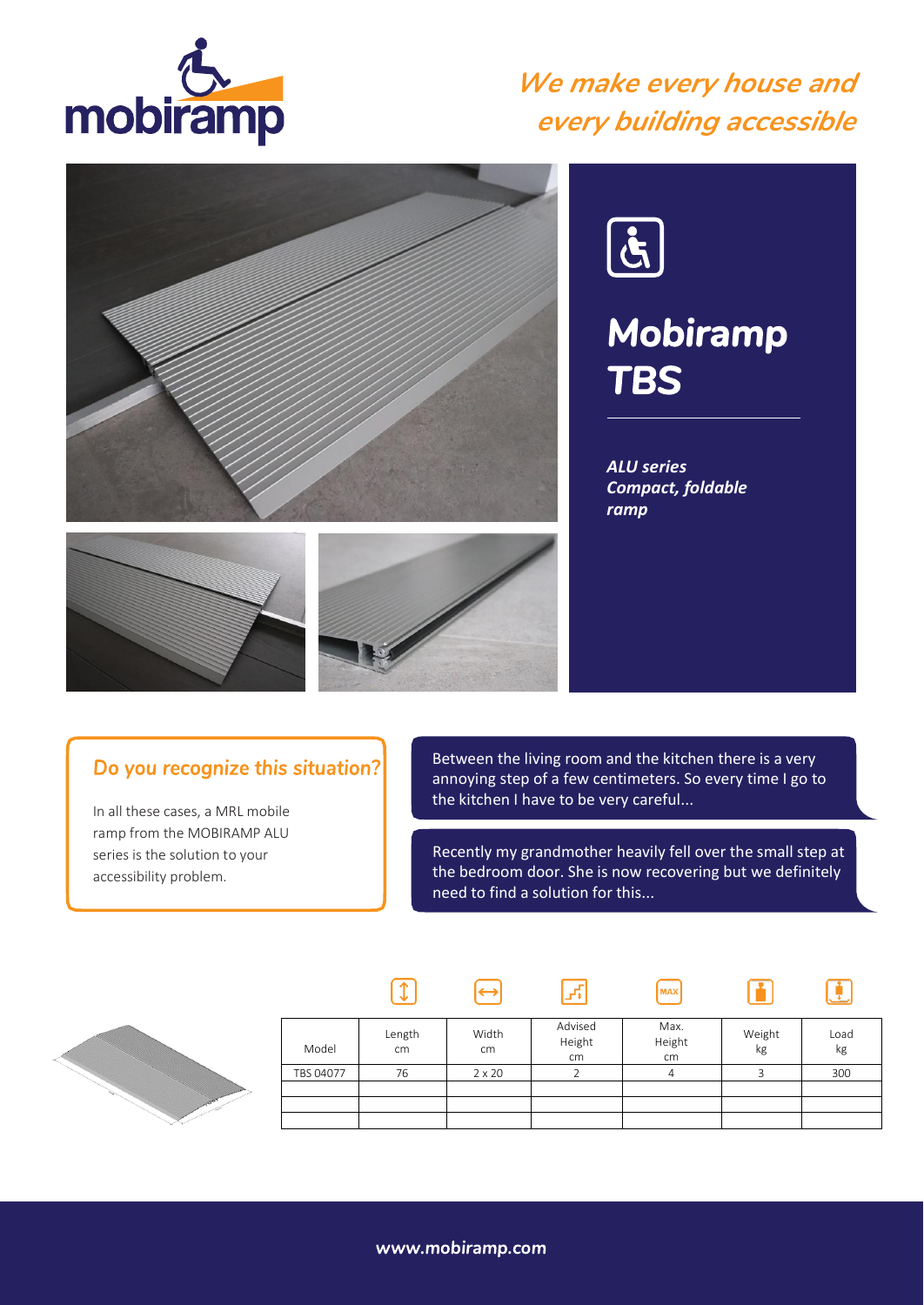

### *We make every house and every building accessible*





## *Mobiramp TBS*

*ALU series Compact, foldable ramp*



In all these cases, a MRL mobile ramp from the MOBIRAMP ALU series is the solution to your accessibility problem.

Between the living room and the kitchen there is a very annoying step of a few centimeters. So every time I go to the kitchen I have to be very careful...

Recently my grandmother heavily fell over the small step at the bedroom door. She is now recovering but we definitely need to find a solution for this...

**MAX** 

n

 $\boxed{\ddot{\mathbf{r}}}$ 



| Model     | Length<br>cm | Width<br>cm   | Advised<br>Height<br>cm | Max.<br>Height<br>cm | Weight<br>kg | Load<br>kg |
|-----------|--------------|---------------|-------------------------|----------------------|--------------|------------|
| TBS 04077 | 76           | $2 \times 20$ |                         |                      |              | 300        |
|           |              |               |                         |                      |              |            |
|           |              |               |                         |                      |              |            |
|           |              |               |                         |                      |              |            |

 $\mathbb{F}$ 

www.mobiramp.com

 $\Theta$ 

 $\sqrt{1}$